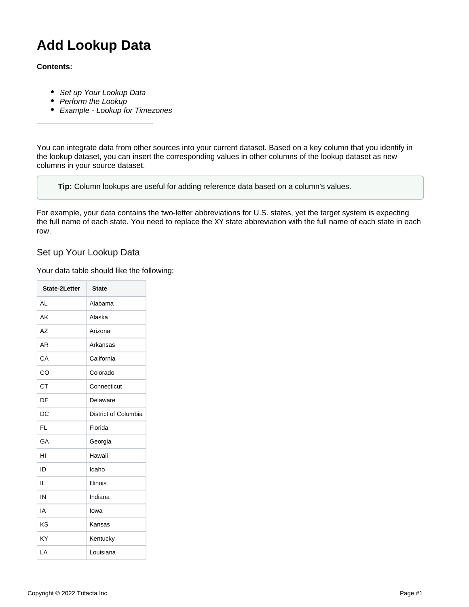# **Add Lookup Data**

#### **Contents:**

- [Set up Your Lookup Data](#page-0-0)
- [Perform the Lookup](#page-2-0)
- [Example Lookup for Timezones](#page-2-1)

You can integrate data from other sources into your current dataset. Based on a key column that you identify in the lookup dataset, you can insert the corresponding values in other columns of the lookup dataset as new columns in your source dataset.

**Tip:** Column lookups are useful for adding reference data based on a column's values.

For example, your data contains the two-letter abbreviations for U.S. states, yet the target system is expecting the full name of each state. You need to replace the XY state abbreviation with the full name of each state in each row.

### <span id="page-0-0"></span>Set up Your Lookup Data

Your data table should like the following:

| <b>State-2Letter</b> | <b>State</b>         |
|----------------------|----------------------|
| AI                   | Alabama              |
| AK                   | Alaska               |
| AZ                   | Arizona              |
| <b>AR</b>            | Arkansas             |
| CA                   | California           |
| CO                   | Colorado             |
| <b>CT</b>            | Connecticut          |
| DE                   | Delaware             |
| DC                   | District of Columbia |
| FL                   | Florida              |
| GA                   | Georgia              |
| HI                   | Hawaii               |
| ID                   | Idaho                |
| IL                   | Illinois             |
| IN                   | Indiana              |
| IA                   | lowa                 |
| KS                   | Kansas               |
| KY                   | Kentucky             |
| LA                   | Louisiana            |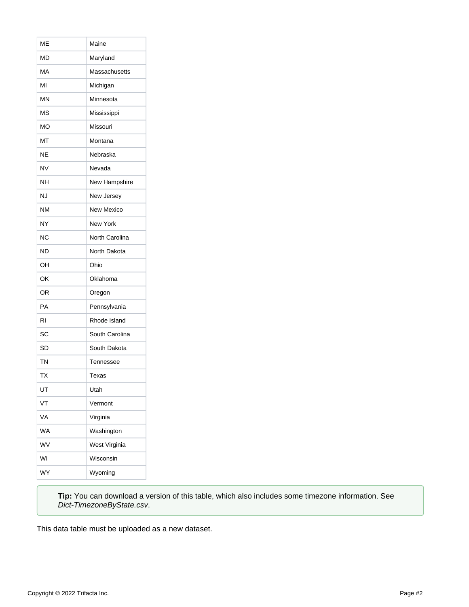| мЕ        | Maine           |
|-----------|-----------------|
| MD        | Maryland        |
| МA        | Massachusetts   |
| MI        | Michigan        |
| MΝ        | Minnesota       |
| MS        | Mississippi     |
| МO        | Missouri        |
| MT        | Montana         |
| NΕ        | Nebraska        |
| <b>NV</b> | Nevada          |
| NΗ        | New Hampshire   |
| NJ        | New Jersey      |
| <b>NM</b> | New Mexico      |
| NY        | <b>New York</b> |
| ΝC        | North Carolina  |
| <b>ND</b> | North Dakota    |
|           |                 |
| OН        | Ohio            |
| OK        | Oklahoma        |
| OR        | Oregon          |
| PA        | Pennsylvania    |
| RI        | Rhode Island    |
| SC        | South Carolina  |
| <b>SD</b> | South Dakota    |
| <b>TN</b> | Tennessee       |
| <b>TX</b> | Texas           |
| UT        | Utah            |
| VT        | Vermont         |
| VA        | Virginia        |
| <b>WA</b> | Washington      |
| WV        | West Virginia   |
| WI        | Wisconsin       |

**Tip:** You can download a version of this table, which also includes some timezone information. See [Dict-TimezoneByState.csv](https://docs.trifacta.com/download/attachments/160407997/Dict-TimezoneByState.csv?version=1&modificationDate=1652106961448&api=v2).

This data table must be uploaded as a new dataset.